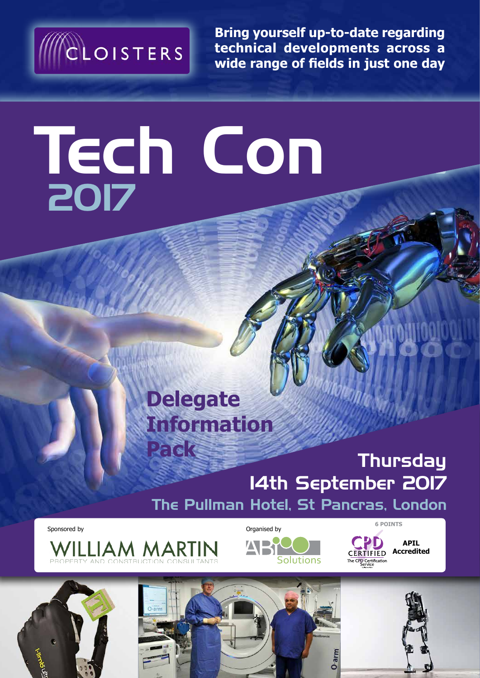

**Bring yourself up-to-date regarding technical developments across a wide range of fields in just one day**

# Tech Con 2017

### **Delegate Information**

### **Thursday** 14th September 2017 The Pullman Hotel, St Pancras, London **Pack**

 $O-<sub>arm</sub>$ 









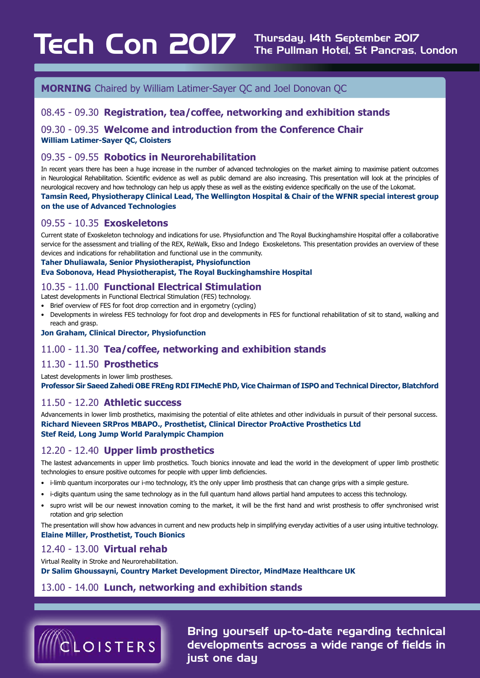## Tech Con 2017 Thursday, 14th September 2017

**MORNING** Chaired by William Latimer-Sayer QC and Joel Donovan QC

#### 08.45 - 09.30 **Registration, tea/coffee, networking and exhibition stands**

09.30 - 09.35 **Welcome and introduction from the Conference Chair William Latimer-Sayer QC, Cloisters**

#### 09.35 - 09.55 **Robotics in Neurorehabilitation**

In recent years there has been a huge increase in the number of advanced technologies on the market aiming to maximise patient outcomes in Neurological Rehabilitation. Scientific evidence as well as public demand are also increasing. This presentation will look at the principles of neurological recovery and how technology can help us apply these as well as the existing evidence specifically on the use of the Lokomat. **Tamsin Reed, Physiotherapy Clinical Lead, The Wellington Hospital & Chair of the WFNR special interest group on the use of Advanced Technologies**

#### 09.55 - 10.35 **Exoskeletons**

Current state of Exoskeleton technology and indications for use. Physiofunction and The Royal Buckinghamshire Hospital offer a collaborative service for the assessment and trialling of the REX, ReWalk, Ekso and Indego Exoskeletons. This presentation provides an overview of these devices and indications for rehabilitation and functional use in the community.

#### **Taher Dhuliawala, Senior Physiotherapist, Physiofunction**

**Eva Sobonova, Head Physiotherapist, The Royal Buckinghamshire Hospital**

#### 10.35 - 11.00 **Functional Electrical Stimulation**

Latest developments in Functional Electrical Stimulation (FES) technology.

- Brief overview of FES for foot drop correction and in ergometry (cycling)
- Developments in wireless FES technology for foot drop and developments in FES for functional rehabilitation of sit to stand, walking and reach and grasp.
- **Jon Graham, Clinical Director, Physiofunction**

#### 11.00 - 11.30 **Tea/coffee, networking and exhibition stands**

#### 11.30 - 11.50 **Prosthetics**

Latest developments in lower limb prostheses.

**Professor Sir Saeed Zahedi OBE FREng RDI FIMechE PhD, Vice Chairman of ISPO and Technical Director, Blatchford**

#### 11.50 - 12.20 **Athletic success**

Advancements in lower limb prosthetics, maximising the potential of elite athletes and other individuals in pursuit of their personal success. **Richard Nieveen SRPros MBAPO., Prosthetist, Clinical Director ProActive Prosthetics Ltd Stef Reid, Long Jump World Paralympic Champion**

#### 12.20 - 12.40 **Upper limb prosthetics**

The lastest advancements in upper limb prosthetics. Touch bionics innovate and lead the world in the development of upper limb prosthetic technologies to ensure positive outcomes for people with upper limb deficiencies.

- i-limb quantum incorporates our i-mo technology, it's the only upper limb prosthesis that can change grips with a simple gesture.
- i-digits quantum using the same technology as in the full quantum hand allows partial hand amputees to access this technology.
- supro wrist will be our newest innovation coming to the market, it will be the first hand and wrist prosthesis to offer synchronised wrist rotation and grip selection

The presentation will show how advances in current and new products help in simplifying everyday activities of a user using intuitive technology. **Elaine Miller, Prosthetist, Touch Bionics**

#### 12.40 - 13.00 **Virtual rehab**

Virtual Reality in Stroke and Neurorehabilitation.

CLOISTERS

**Dr Salim Ghoussayni, Country Market Development Director, MindMaze Healthcare UK**

#### 13.00 - 14.00 **Lunch, networking and exhibition stands**

Bring yourself up-to-date regarding technical developments across a wide range of fields in just one day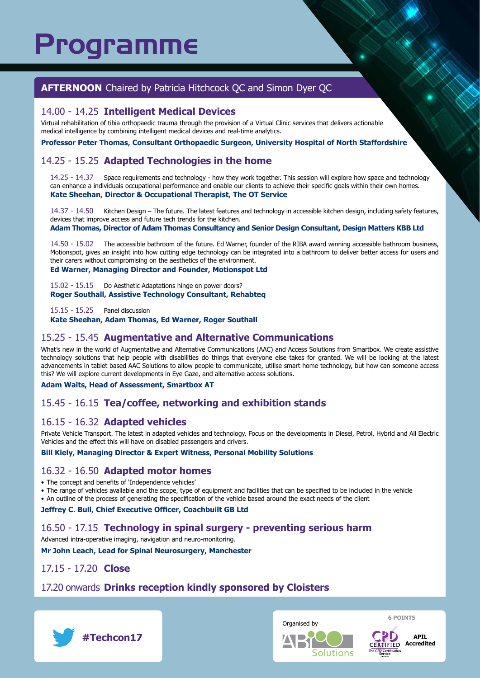### Programme

#### **AFTERNOON** Chaired by Patricia Hitchcock QC and Simon Dyer QC

#### 14.00 - 14.25 **Intelligent Medical Devices**

Virtual rehabilitation of tibia orthopaedic trauma through the provision of a Virtual Clinic services that delivers actionable medical intelligence by combining intelligent medical devices and real-time analytics.

**Professor Peter Thomas, Consultant Orthopaedic Surgeon, University Hospital of North Staffordshire**

#### 14.25 - 15.25 **Adapted Technologies in the home**

14.25 - 14.37 Space requirements and technology - how they work together. This session will explore how space and technology can enhance a individuals occupational performance and enable our clients to achieve their specific goals within their own homes. **Kate Sheehan, Director & Occupational Therapist, The OT Service**

14.37 - 14.50 Kitchen Design – The future. The latest features and technology in accessible kitchen design, including safety features, devices that improve access and future tech trends for the kitchen.

**Adam Thomas, Director of Adam Thomas Consultancy and Senior Design Consultant, Design Matters KBB Ltd**

14.50 - 15.02 The accessible bathroom of the future. Ed Warner, founder of the RIBA award winning accessible bathroom business, Motionspot, gives an insight into how cutting edge technology can be integrated into a bathroom to deliver better access for users and their carers without compromising on the aesthetics of the environment. **Ed Warner, Managing Director and Founder, Motionspot Ltd**

15.02 - 15.15 Do Aesthetic Adaptations hinge on power doors? **Roger Southall, Assistive Technology Consultant, Rehabteq**

15.15 - 15.25 Panel discussion

**Kate Sheehan, Adam Thomas, Ed Warner, Roger Southall**

#### 15.25 - 15.45 **Augmentative and Alternative Communications**

What's new in the world of Augmentative and Alternative Communications (AAC) and Access Solutions from Smartbox. We create assistive technology solutions that help people with disabilities do things that everyone else takes for granted. We will be looking at the latest advancements in tablet based AAC Solutions to allow people to communicate, utilise smart home technology, but how can someone access this? We will explore current developments in Eye Gaze, and alternative access solutions.

**Adam Waits, Head of Assessment, Smartbox AT**

#### 15.45 - 16.15 **Tea/coffee, networking and exhibition stands**

#### 16.15 - 16.32 **Adapted vehicles**

Private Vehicle Transport. The latest in adapted vehicles and technology. Focus on the developments in Diesel, Petrol, Hybrid and All Electric Vehicles and the effect this will have on disabled passengers and drivers.

**Bill Kiely, Managing Director & Expert Witness, Personal Mobility Solutions**

#### 16.32 - 16.50 **Adapted motor homes**

- The concept and benefits of 'Independence vehicles'
- The range of vehicles available and the scope, type of equipment and facilities that can be specified to be included in the vehicle
- An outline of the process of generating the specification of the vehicle based around the exact needs of the client

#### **Jeffrey C. Bull, Chief Executive Officer, Coachbuilt GB Ltd**

#### 16.50 - 17.15 **Technology in spinal surgery - preventing serious harm**

Advanced intra-operative imaging, navigation and neuro-monitoring.

**Mr John Leach, Lead for Spinal Neurosurgery, Manchester**

#### 17.15 - 17.20 **Close**

#### 17.20 onwards **Drinks reception kindly sponsored by Cloisters**





**6 POINTS**

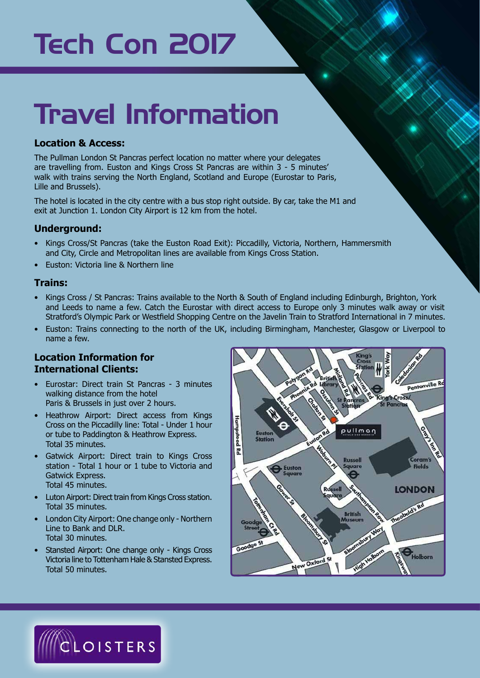## Tech Con 2017

### Travel Information

#### **Location & Access:**

The Pullman London St Pancras perfect location no matter where your delegates are travelling from. Euston and Kings Cross St Pancras are within 3 - 5 minutes' walk with trains serving the North England, Scotland and Europe (Eurostar to Paris, Lille and Brussels).

The hotel is located in the city centre with a bus stop right outside. By car, take the M1 and exit at Junction 1. London City Airport is 12 km from the hotel.

#### **Underground:**

- Kings Cross/St Pancras (take the Euston Road Exit): Piccadilly, Victoria, Northern, Hammersmith and City, Circle and Metropolitan lines are available from Kings Cross Station.
- Euston: Victoria line & Northern line

#### **Trains:**

- Kings Cross / St Pancras: Trains available to the North & South of England including Edinburgh, Brighton, York and Leeds to name a few. Catch the Eurostar with direct access to Europe only 3 minutes walk away or visit Stratford's Olympic Park or Westfield Shopping Centre on the Javelin Train to Stratford International in 7 minutes.
- Euston: Trains connecting to the north of the UK, including Birmingham, Manchester, Glasgow or Liverpool to name a few.

#### **Location Information for International Clients:**

- Eurostar: Direct train St Pancras 3 minutes walking distance from the hotel Paris & Brussels in just over 2 hours.
- Heathrow Airport: Direct access from Kings Cross on the Piccadilly line: Total - Under 1 hour or tube to Paddington & Heathrow Express. Total 35 minutes.
- Gatwick Airport: Direct train to Kings Cross station - Total 1 hour or 1 tube to Victoria and Gatwick Express. Total 45 minutes.
- Luton Airport: Direct train from Kings Cross station. Total 35 minutes.
- London City Airport: One change only Northern Line to Bank and DLR. Total 30 minutes.
- Stansted Airport: One change only Kings Cross Victoria line to Tottenham Hale & Stansted Express. Total 50 minutes.